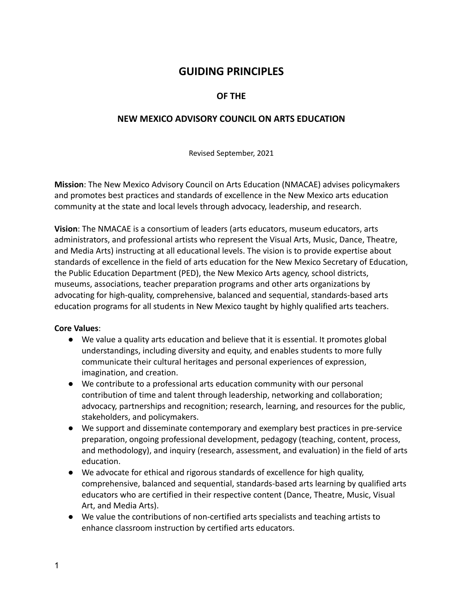# **GUIDING PRINCIPLES**

## **OF THE**

## **NEW MEXICO ADVISORY COUNCIL ON ARTS EDUCATION**

Revised September, 2021

**Mission**: The New Mexico Advisory Council on Arts Education (NMACAE) advises policymakers and promotes best practices and standards of excellence in the New Mexico arts education community at the state and local levels through advocacy, leadership, and research.

**Vision**: The NMACAE is a consortium of leaders (arts educators, museum educators, arts administrators, and professional artists who represent the Visual Arts, Music, Dance, Theatre, and Media Arts) instructing at all educational levels. The vision is to provide expertise about standards of excellence in the field of arts education for the New Mexico Secretary of Education, the Public Education Department (PED), the New Mexico Arts agency, school districts, museums, associations, teacher preparation programs and other arts organizations by advocating for high-quality, comprehensive, balanced and sequential, standards-based arts education programs for all students in New Mexico taught by highly qualified arts teachers.

#### **Core Values**:

- We value a quality arts education and believe that it is essential. It promotes global understandings, including diversity and equity, and enables students to more fully communicate their cultural heritages and personal experiences of expression, imagination, and creation.
- We contribute to a professional arts education community with our personal contribution of time and talent through leadership, networking and collaboration; advocacy, partnerships and recognition; research, learning, and resources for the public, stakeholders, and policymakers.
- We support and disseminate contemporary and exemplary best practices in pre-service preparation, ongoing professional development, pedagogy (teaching, content, process, and methodology), and inquiry (research, assessment, and evaluation) in the field of arts education.
- We advocate for ethical and rigorous standards of excellence for high quality, comprehensive, balanced and sequential, standards-based arts learning by qualified arts educators who are certified in their respective content (Dance, Theatre, Music, Visual Art, and Media Arts).
- We value the contributions of non-certified arts specialists and teaching artists to enhance classroom instruction by certified arts educators.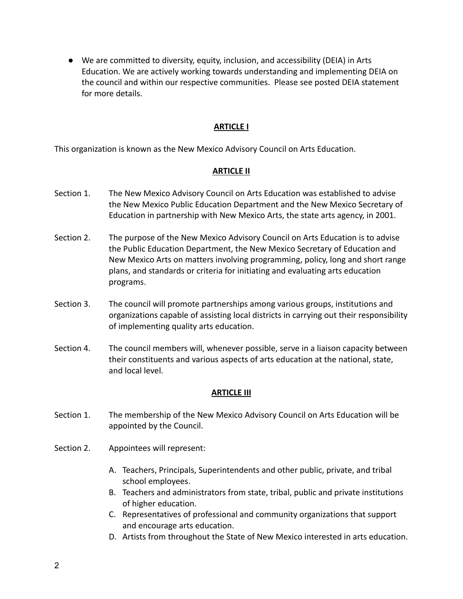● We are committed to diversity, equity, inclusion, and accessibility (DEIA) in Arts Education. We are actively working towards understanding and implementing DEIA on the council and within our respective communities. Please see posted DEIA statement for more details.

## **ARTICLE I**

This organization is known as the New Mexico Advisory Council on Arts Education.

#### **ARTICLE II**

- Section 1. The New Mexico Advisory Council on Arts Education was established to advise the New Mexico Public Education Department and the New Mexico Secretary of Education in partnership with New Mexico Arts, the state arts agency, in 2001.
- Section 2. The purpose of the New Mexico Advisory Council on Arts Education is to advise the Public Education Department, the New Mexico Secretary of Education and New Mexico Arts on matters involving programming, policy, long and short range plans, and standards or criteria for initiating and evaluating arts education programs.
- Section 3. The council will promote partnerships among various groups, institutions and organizations capable of assisting local districts in carrying out their responsibility of implementing quality arts education.
- Section 4. The council members will, whenever possible, serve in a liaison capacity between their constituents and various aspects of arts education at the national, state, and local level.

#### **ARTICLE III**

- Section 1. The membership of the New Mexico Advisory Council on Arts Education will be appointed by the Council.
- Section 2. Appointees will represent:
	- A. Teachers, Principals, Superintendents and other public, private, and tribal school employees.
	- B. Teachers and administrators from state, tribal, public and private institutions of higher education.
	- C. Representatives of professional and community organizations that support and encourage arts education.
	- D. Artists from throughout the State of New Mexico interested in arts education.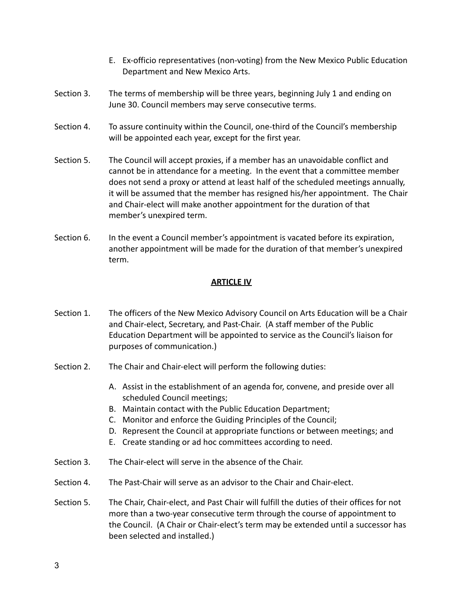- E. Ex-officio representatives (non-voting) from the New Mexico Public Education Department and New Mexico Arts.
- Section 3. The terms of membership will be three years, beginning July 1 and ending on June 30. Council members may serve consecutive terms.
- Section 4. To assure continuity within the Council, one-third of the Council's membership will be appointed each year, except for the first year.
- Section 5. The Council will accept proxies, if a member has an unavoidable conflict and cannot be in attendance for a meeting. In the event that a committee member does not send a proxy or attend at least half of the scheduled meetings annually, it will be assumed that the member has resigned his/her appointment. The Chair and Chair-elect will make another appointment for the duration of that member's unexpired term.
- Section 6. In the event a Council member's appointment is vacated before its expiration, another appointment will be made for the duration of that member's unexpired term.

#### **ARTICLE IV**

- Section 1. The officers of the New Mexico Advisory Council on Arts Education will be a Chair and Chair-elect, Secretary, and Past-Chair. (A staff member of the Public Education Department will be appointed to service as the Council's liaison for purposes of communication.)
- Section 2. The Chair and Chair-elect will perform the following duties:
	- A. Assist in the establishment of an agenda for, convene, and preside over all scheduled Council meetings;
	- B. Maintain contact with the Public Education Department;
	- C. Monitor and enforce the Guiding Principles of the Council;
	- D. Represent the Council at appropriate functions or between meetings; and
	- E. Create standing or ad hoc committees according to need.
- Section 3. The Chair-elect will serve in the absence of the Chair.
- Section 4. The Past-Chair will serve as an advisor to the Chair and Chair-elect.
- Section 5. The Chair, Chair-elect, and Past Chair will fulfill the duties of their offices for not more than a two-year consecutive term through the course of appointment to the Council. (A Chair or Chair-elect's term may be extended until a successor has been selected and installed.)